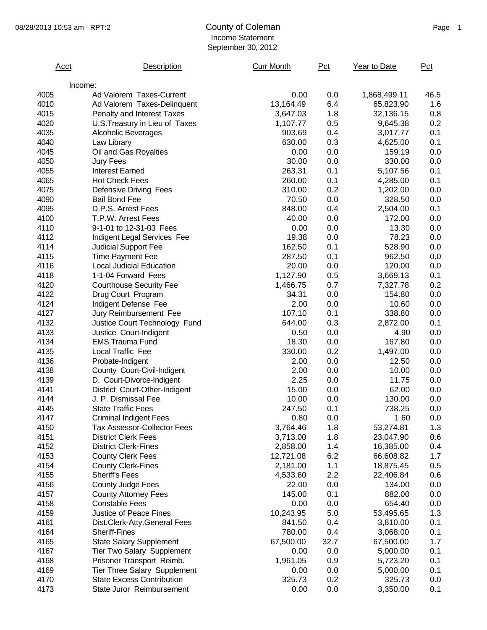## 08/28/2013 10:53 am RPT:2 County of Coleman County of Coleman Page 1 Income Statement September 30, 2012

|              | Acct    | Description                                                         | <b>Curr Month</b>    | Pct        | Year to Date           | Pct        |
|--------------|---------|---------------------------------------------------------------------|----------------------|------------|------------------------|------------|
|              | Income: |                                                                     |                      |            |                        |            |
| 4005         |         | Ad Valorem Taxes-Current                                            | 0.00                 | 0.0        | 1,868,499.11           | 46.5       |
| 4010         |         | Ad Valorem Taxes-Delinquent                                         | 13,164.49            | 6.4        | 65,823.90              | 1.6        |
| 4015         |         | Penalty and Interest Taxes                                          | 3,647.03             | 1.8        | 32,136.15              | 0.8        |
| 4020         |         | U.S. Treasury in Lieu of Taxes                                      | 1,107.77             | 0.5        | 9,645.38               | 0.2        |
| 4035         |         | <b>Alcoholic Beverages</b>                                          | 903.69               | 0.4        | 3,017.77               | 0.1        |
| 4040         |         | Law Library                                                         | 630.00               | 0.3        | 4,625.00               | 0.1        |
| 4045         |         | Oil and Gas Royalties                                               | 0.00                 | 0.0        | 159.19                 | 0.0        |
| 4050         |         | Jury Fees                                                           | 30.00                | 0.0        | 330.00                 | 0.0        |
| 4055         |         | <b>Interest Earned</b>                                              | 263.31               | 0.1        | 5,107.56               | 0.1        |
| 4065         |         | <b>Hot Check Fees</b>                                               | 260.00               | 0.1        | 4,285.00               | 0.1        |
| 4075         |         | Defensive Driving Fees                                              | 310.00               | 0.2        | 1,202.00               | 0.0        |
| 4090         |         | <b>Bail Bond Fee</b>                                                | 70.50                | 0.0        | 328.50                 | 0.0        |
| 4095         |         | D.P.S. Arrest Fees                                                  | 848.00               | 0.4        | 2,504.00               | 0.1        |
| 4100         |         | T.P.W. Arrest Fees                                                  | 40.00                | 0.0        | 172.00                 | 0.0        |
| 4110         |         | 9-1-01 to 12-31-03 Fees                                             | 0.00                 | 0.0        | 13.30                  | 0.0        |
| 4112         |         | Indigent Legal Services Fee                                         | 19.38                | 0.0        | 78.23                  | 0.0        |
| 4114         |         | <b>Judicial Support Fee</b>                                         | 162.50               | 0.1        | 528.90                 | 0.0        |
| 4115         |         | <b>Time Payment Fee</b>                                             | 287.50               | 0.1        | 962.50                 | 0.0        |
| 4116         |         | Local Judicial Education                                            | 20.00                | 0.0        | 120.00                 | 0.0        |
| 4118         |         | 1-1-04 Forward Fees                                                 | 1,127.90             | 0.5        | 3,669.13               | 0.1        |
| 4120         |         | <b>Courthouse Security Fee</b>                                      | 1,466.75             | 0.7        | 7,327.78               | 0.2        |
| 4122         |         | Drug Court Program                                                  | 34.31                | 0.0        | 154.80                 | 0.0        |
| 4124         |         | Indigent Defense Fee                                                | 2.00                 | 0.0        | 10.60                  | 0.0        |
| 4127         |         | Jury Reimbursement Fee                                              | 107.10               | 0.1        | 338.80                 | 0.0        |
| 4132         |         | Justice Court Technology Fund                                       | 644.00               | 0.3        | 2,872.00               | 0.1        |
| 4133         |         | Justice Court-Indigent                                              | 0.50                 | 0.0        | 4.90                   | 0.0        |
| 4134         |         | <b>EMS Trauma Fund</b>                                              | 18.30                | 0.0        | 167.80                 | 0.0        |
| 4135         |         | Local Traffic Fee                                                   | 330.00               | 0.2        | 1,497.00               | 0.0        |
| 4136         |         | Probate-Indigent                                                    | 2.00                 | 0.0        | 12.50                  | 0.0        |
| 4138         |         | County Court-Civil-Indigent                                         | 2.00                 | 0.0        | 10.00                  | 0.0        |
| 4139         |         |                                                                     | 2.25                 | 0.0        | 11.75                  | 0.0        |
| 4141         |         | D. Court-Divorce-Indigent                                           | 15.00                | 0.0        | 62.00                  | 0.0        |
| 4144         |         | District Court-Other-Indigent<br>J. P. Dismissal Fee                | 10.00                | 0.0        | 130.00                 | 0.0        |
| 4145         |         | <b>State Traffic Fees</b>                                           | 247.50               | 0.1        | 738.25                 | 0.0        |
| 4147         |         |                                                                     | 0.80                 | 0.0        | 1.60                   | 0.0        |
|              |         | <b>Criminal Indigent Fees</b><br><b>Tax Assessor-Collector Fees</b> |                      |            |                        |            |
| 4150<br>4151 |         | <b>District Clerk Fees</b>                                          | 3,764.46             | 1.8<br>1.8 | 53,274.81<br>23,047.90 | 1.3        |
| 4152         |         | <b>District Clerk-Fines</b>                                         | 3,713.00<br>2,858.00 | 1.4        |                        | 0.6<br>0.4 |
|              |         |                                                                     |                      |            | 16,385.00              |            |
| 4153         |         | <b>County Clerk Fees</b>                                            | 12,721.08            | 6.2        | 66,608.82              | 1.7        |
| 4154         |         | <b>County Clerk-Fines</b>                                           | 2,181.00             | 1.1        | 18,875.45              | 0.5        |
| 4155         |         | <b>Sheriff's Fees</b>                                               | 4,533.60             | 2.2        | 22,406.84              | 0.6        |
| 4156         |         | <b>County Judge Fees</b>                                            | 22.00                | 0.0        | 134.00                 | 0.0        |
| 4157         |         | <b>County Attorney Fees</b>                                         | 145.00               | 0.1        | 882.00                 | 0.0        |
| 4158         |         | <b>Constable Fees</b>                                               | 0.00                 | 0.0        | 654.40                 | 0.0        |
| 4159         |         | Justice of Peace Fines                                              | 10,243.95            | 5.0        | 53,495.65              | 1.3        |
| 4161         |         | Dist.Clerk-Atty.General Fees                                        | 841.50               | 0.4        | 3,810.00               | 0.1        |
| 4164         |         | <b>Sheriff-Fines</b>                                                | 780.00               | 0.4        | 3,068.00               | 0.1        |
| 4165         |         | <b>State Salary Supplement</b>                                      | 67,500.00            | 32.7       | 67,500.00              | 1.7        |
| 4167         |         | <b>Tier Two Salary Supplement</b>                                   | 0.00                 | 0.0        | 5,000.00               | 0.1        |
| 4168         |         | Prisoner Transport Reimb.                                           | 1,961.05             | 0.9        | 5,723.20               | 0.1        |
| 4169         |         | <b>Tier Three Salary Supplement</b>                                 | 0.00                 | 0.0        | 5,000.00               | 0.1        |
| 4170         |         | <b>State Excess Contribution</b>                                    | 325.73               | 0.2        | 325.73                 | 0.0        |
| 4173         |         | State Juror Reimbursement                                           | 0.00                 | 0.0        | 3,350.00               | 0.1        |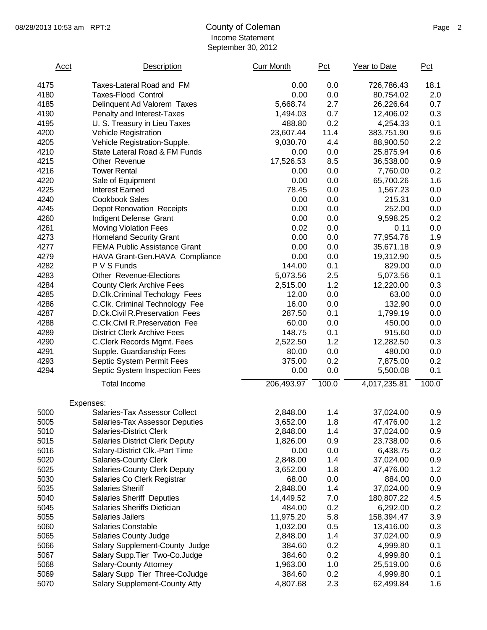## 08/28/2013 10:53 am RPT:2 County of Coleman Counter County of Coleman Page 2 Income Statement September 30, 2012

| Acct | Description                           | <b>Curr Month</b> | Pct   | Year to Date | Pct   |
|------|---------------------------------------|-------------------|-------|--------------|-------|
| 4175 | Taxes-Lateral Road and FM             | 0.00              | 0.0   | 726,786.43   | 18.1  |
| 4180 | <b>Taxes-Flood Control</b>            | 0.00              | 0.0   | 80,754.02    | 2.0   |
| 4185 | Delinquent Ad Valorem Taxes           | 5,668.74          | 2.7   | 26,226.64    | 0.7   |
| 4190 | Penalty and Interest-Taxes            | 1,494.03          | 0.7   | 12,406.02    | 0.3   |
| 4195 | U. S. Treasury in Lieu Taxes          | 488.80            | 0.2   | 4,254.33     | 0.1   |
| 4200 | Vehicle Registration                  | 23,607.44         | 11.4  | 383,751.90   | 9.6   |
| 4205 | Vehicle Registration-Supple.          | 9,030.70          | 4.4   | 88,900.50    | 2.2   |
| 4210 | State Lateral Road & FM Funds         | 0.00              | 0.0   | 25,875.94    | 0.6   |
| 4215 | Other Revenue                         | 17,526.53         | 8.5   | 36,538.00    | 0.9   |
| 4216 | <b>Tower Rental</b>                   | 0.00              | 0.0   | 7,760.00     | 0.2   |
| 4220 | Sale of Equipment                     | 0.00              | 0.0   | 65,700.26    | 1.6   |
| 4225 | <b>Interest Earned</b>                | 78.45             | 0.0   | 1,567.23     | 0.0   |
| 4240 | <b>Cookbook Sales</b>                 | 0.00              | 0.0   | 215.31       | 0.0   |
| 4245 | <b>Depot Renovation Receipts</b>      | 0.00              | 0.0   | 252.00       | 0.0   |
| 4260 | Indigent Defense Grant                | 0.00              | 0.0   | 9,598.25     | 0.2   |
| 4261 | <b>Moving Violation Fees</b>          | 0.02              | 0.0   | 0.11         | 0.0   |
| 4273 | <b>Homeland Security Grant</b>        | 0.00              | 0.0   | 77,954.76    | 1.9   |
| 4277 | <b>FEMA Public Assistance Grant</b>   | 0.00              | 0.0   | 35,671.18    | 0.9   |
| 4279 | HAVA Grant-Gen.HAVA Compliance        | 0.00              | 0.0   | 19,312.90    | 0.5   |
| 4282 | P V S Funds                           | 144.00            | 0.1   | 829.00       | 0.0   |
| 4283 | <b>Other Revenue-Elections</b>        | 5,073.56          | 2.5   | 5,073.56     | 0.1   |
| 4284 | <b>County Clerk Archive Fees</b>      | 2,515.00          | 1.2   | 12,220.00    | 0.3   |
| 4285 | D.Clk.Criminal Techology Fees         | 12.00             | 0.0   | 63.00        | 0.0   |
| 4286 | C.Clk. Criminal Technology Fee        | 16.00             | 0.0   | 132.90       | 0.0   |
| 4287 | D.Ck.Civil R.Preservation Fees        | 287.50            | 0.1   | 1,799.19     | 0.0   |
| 4288 | C.Clk.Civil R.Preservation Fee        | 60.00             | 0.0   | 450.00       | 0.0   |
| 4289 | <b>District Clerk Archive Fees</b>    | 148.75            | 0.1   | 915.60       | 0.0   |
| 4290 | C.Clerk Records Mgmt. Fees            | 2,522.50          | 1.2   | 12,282.50    | 0.3   |
| 4291 | Supple. Guardianship Fees             | 80.00             | 0.0   | 480.00       | 0.0   |
| 4293 | Septic System Permit Fees             | 375.00            | 0.2   | 7,875.00     | 0.2   |
| 4294 | Septic System Inspection Fees         | 0.00              | 0.0   | 5,500.08     | 0.1   |
|      | <b>Total Income</b>                   | 206,493.97        | 100.0 | 4,017,235.81 | 100.0 |
|      | Expenses:                             |                   |       |              |       |
| 5000 | Salaries-Tax Assessor Collect         | 2,848.00          | 1.4   | 37,024.00    | 0.9   |
| 5005 | Salaries-Tax Assessor Deputies        | 3,652.00          | 1.8   | 47,476.00    | 1.2   |
| 5010 | <b>Salaries-District Clerk</b>        | 2,848.00          | 1.4   | 37,024.00    | 0.9   |
| 5015 | <b>Salaries District Clerk Deputy</b> | 1,826.00          | 0.9   | 23,738.00    | 0.6   |
| 5016 | Salary-District Clk.-Part Time        | 0.00              | 0.0   | 6,438.75     | 0.2   |
| 5020 | <b>Salaries-County Clerk</b>          | 2,848.00          | 1.4   | 37,024.00    | 0.9   |
| 5025 | <b>Salaries-County Clerk Deputy</b>   | 3,652.00          | 1.8   | 47,476.00    | 1.2   |
| 5030 | Salaries Co Clerk Registrar           | 68.00             | 0.0   | 884.00       | 0.0   |
| 5035 | <b>Salaries Sheriff</b>               | 2,848.00          | 1.4   | 37,024.00    | 0.9   |
| 5040 | <b>Salaries Sheriff Deputies</b>      | 14,449.52         | 7.0   | 180,807.22   | 4.5   |
| 5045 | Salaries Sheriffs Dietician           | 484.00            | 0.2   | 6,292.00     | 0.2   |
| 5055 | <b>Salaries Jailers</b>               | 11,975.20         | 5.8   | 158,394.47   | 3.9   |
| 5060 | <b>Salaries Constable</b>             | 1,032.00          | 0.5   | 13,416.00    | 0.3   |
| 5065 | <b>Salaries County Judge</b>          | 2,848.00          | 1.4   | 37,024.00    | 0.9   |
| 5066 | Salary Supplement-County Judge        | 384.60            | 0.2   | 4,999.80     | 0.1   |
| 5067 | Salary Supp. Tier Two-Co. Judge       | 384.60            | 0.2   | 4,999.80     | 0.1   |
| 5068 | Salary-County Attorney                | 1,963.00          | 1.0   | 25,519.00    | 0.6   |
| 5069 | Salary Supp Tier Three-CoJudge        | 384.60            | 0.2   | 4,999.80     | 0.1   |
| 5070 | Salary Supplement-County Atty         | 4,807.68          | 2.3   | 62,499.84    | 1.6   |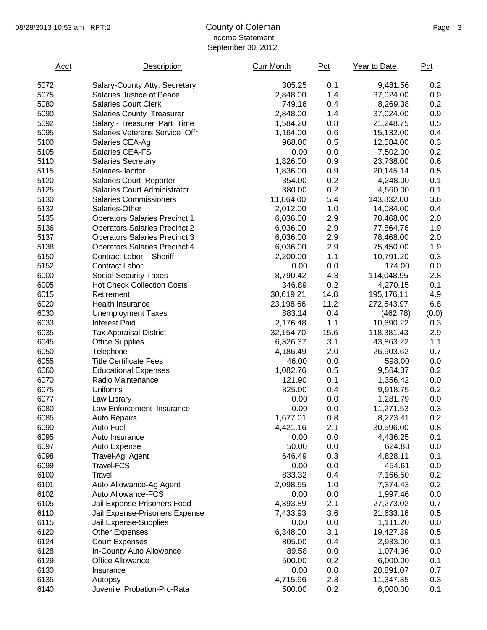## 08/28/2013 10:53 am RPT:2 County of Coleman County of Coleman Page 3 Income Statement September 30, 2012

| <b>Acct</b> | Description                          | <b>Curr Month</b> | Pct  | Year to Date | Pct   |
|-------------|--------------------------------------|-------------------|------|--------------|-------|
| 5072        | Salary-County Atty. Secretary        | 305.25            | 0.1  | 9,481.56     | 0.2   |
| 5075        | Salaries Justice of Peace            | 2,848.00          | 1.4  | 37,024.00    | 0.9   |
| 5080        | <b>Salaries Court Clerk</b>          | 749.16            | 0.4  | 8,269.38     | 0.2   |
| 5090        | <b>Salaries County Treasurer</b>     | 2,848.00          | 1.4  | 37,024.00    | 0.9   |
| 5092        | Salary - Treasurer Part Time         | 1,584.20          | 0.8  | 21,248.75    | 0.5   |
| 5095        | Salaries Veterans Service Offr       | 1,164.00          | 0.6  | 15,132.00    | 0.4   |
| 5100        | Salaries CEA-Ag                      | 968.00            | 0.5  | 12,584.00    | 0.3   |
| 5105        | Salaries CEA-FS                      | 0.00              | 0.0  | 7,502.00     | 0.2   |
| 5110        | <b>Salaries Secretary</b>            | 1,826.00          | 0.9  | 23,738.00    | 0.6   |
| 5115        | Salaries-Janitor                     | 1,836.00          | 0.9  | 20,145.14    | 0.5   |
| 5120        | Salaries Court Reporter              | 354.00            | 0.2  | 4,248.00     | 0.1   |
| 5125        | Salaries Court Administrator         | 380.00            | 0.2  | 4,560.00     | 0.1   |
| 5130        | <b>Salaries Commissioners</b>        | 11,064.00         | 5.4  | 143,832.00   | 3.6   |
| 5132        | Salaries-Other                       | 2,012.00          | 1.0  | 14,084.00    | 0.4   |
| 5135        | <b>Operators Salaries Precinct 1</b> | 6,036.00          | 2.9  | 78,468.00    | 2.0   |
| 5136        | <b>Operators Salaries Precinct 2</b> | 6,036.00          | 2.9  | 77,864.76    | 1.9   |
| 5137        | <b>Operators Salaries Precinct 3</b> | 6,036.00          | 2.9  | 78,468.00    | 2.0   |
| 5138        | <b>Operators Salaries Precinct 4</b> | 6,036.00          | 2.9  | 75,450.00    | 1.9   |
| 5150        | Contract Labor - Sheriff             | 2,200.00          | 1.1  | 10,791.20    | 0.3   |
| 5152        | <b>Contract Labor</b>                | 0.00              | 0.0  | 174.00       | 0.0   |
| 6000        | <b>Social Security Taxes</b>         | 8,790.42          | 4.3  | 114,048.95   | 2.8   |
| 6005        | <b>Hot Check Collection Costs</b>    | 346.89            | 0.2  | 4,270.15     | 0.1   |
| 6015        | Retirement                           | 30,619.21         | 14.8 | 195,176.11   | 4.9   |
| 6020        | Health Insurance                     | 23,198.66         | 11.2 | 272,543.97   | 6.8   |
| 6030        | <b>Unemployment Taxes</b>            | 883.14            | 0.4  | (462.78)     | (0.0) |
| 6033        | <b>Interest Paid</b>                 | 2,176.48          | 1.1  | 10,690.22    | 0.3   |
| 6035        | <b>Tax Appraisal District</b>        | 32,154.70         | 15.6 | 118,381.43   | 2.9   |
| 6045        | <b>Office Supplies</b>               | 6,326.37          | 3.1  | 43,863.22    | 1.1   |
| 6050        | Telephone                            | 4,186.49          | 2.0  | 26,903.62    | 0.7   |
| 6055        | <b>Title Certificate Fees</b>        | 46.00             | 0.0  | 598.00       | 0.0   |
| 6060        | <b>Educational Expenses</b>          | 1,082.76          | 0.5  | 9,564.37     | 0.2   |
| 6070        | Radio Maintenance                    | 121.90            | 0.1  | 1,356.42     | 0.0   |
| 6075        | Uniforms                             | 825.00            | 0.4  | 9,918.75     | 0.2   |
| 6077        | Law Library                          | 0.00              | 0.0  | 1,281.79     | 0.0   |
| 6080        | Law Enforcement Insurance            | 0.00              | 0.0  | 11,271.53    | 0.3   |
| 6085        | Auto Repairs                         | 1,677.01          | 0.8  | 8,273.41     | 0.2   |
| 6090        | Auto Fuel                            | 4,421.16          | 2.1  | 30,596.00    | 0.8   |
| 6095        | Auto Insurance                       | 0.00              | 0.0  | 4,436.25     | 0.1   |
| 6097        | Auto Expense                         | 50.00             | 0.0  | 624.88       | 0.0   |
| 6098        | Travel-Ag Agent                      | 646.49            | 0.3  | 4,828.11     | 0.1   |
| 6099        | <b>Travel-FCS</b>                    | 0.00              | 0.0  | 454.61       | 0.0   |
| 6100        | Travel                               | 833.32            | 0.4  | 7,166.50     | 0.2   |
| 6101        | Auto Allowance-Ag Agent              | 2,098.55          | 1.0  | 7,374.43     | 0.2   |
| 6102        | Auto Allowance-FCS                   | 0.00              | 0.0  | 1,997.46     | 0.0   |
| 6105        | Jail Expense-Prisoners Food          | 4,393.89          | 2.1  | 27,273.02    | 0.7   |
| 6110        | Jail Expense-Prisoners Expense       | 7,433.93          | 3.6  | 21,633.16    | 0.5   |
| 6115        | Jail Expense-Supplies                | 0.00              | 0.0  | 1,111.20     | 0.0   |
| 6120        | <b>Other Expenses</b>                | 6,348.00          | 3.1  | 19,427.39    | 0.5   |
| 6124        | <b>Court Expenses</b>                | 805.00            | 0.4  | 2,933.00     | 0.1   |
| 6128        | In-County Auto Allowance             | 89.58             | 0.0  | 1,074.96     | 0.0   |
| 6129        | Office Allowance                     | 500.00            | 0.2  | 6,000.00     | 0.1   |
| 6130        | Insurance                            | 0.00              | 0.0  | 28,891.07    | 0.7   |
| 6135        | Autopsy                              | 4,715.96          | 2.3  | 11,347.35    | 0.3   |
| 6140        | Juvenile Probation-Pro-Rata          | 500.00            | 0.2  | 6,000.00     | 0.1   |